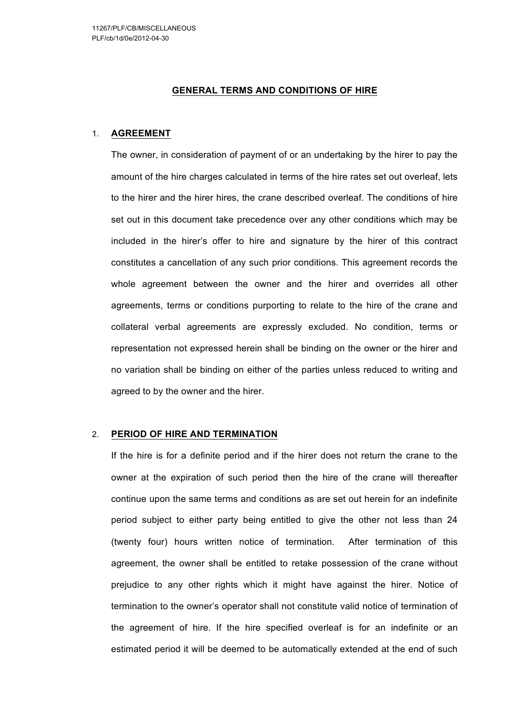## **GENERAL TERMS AND CONDITIONS OF HIRE**

### 1. **AGREEMENT**

The owner, in consideration of payment of or an undertaking by the hirer to pay the amount of the hire charges calculated in terms of the hire rates set out overleaf, lets to the hirer and the hirer hires, the crane described overleaf. The conditions of hire set out in this document take precedence over any other conditions which may be included in the hirer's offer to hire and signature by the hirer of this contract constitutes a cancellation of any such prior conditions. This agreement records the whole agreement between the owner and the hirer and overrides all other agreements, terms or conditions purporting to relate to the hire of the crane and collateral verbal agreements are expressly excluded. No condition, terms or representation not expressed herein shall be binding on the owner or the hirer and no variation shall be binding on either of the parties unless reduced to writing and agreed to by the owner and the hirer.

### 2. **PERIOD OF HIRE AND TERMINATION**

If the hire is for a definite period and if the hirer does not return the crane to the owner at the expiration of such period then the hire of the crane will thereafter continue upon the same terms and conditions as are set out herein for an indefinite period subject to either party being entitled to give the other not less than 24 (twenty four) hours written notice of termination. After termination of this agreement, the owner shall be entitled to retake possession of the crane without prejudice to any other rights which it might have against the hirer. Notice of termination to the owner's operator shall not constitute valid notice of termination of the agreement of hire. If the hire specified overleaf is for an indefinite or an estimated period it will be deemed to be automatically extended at the end of such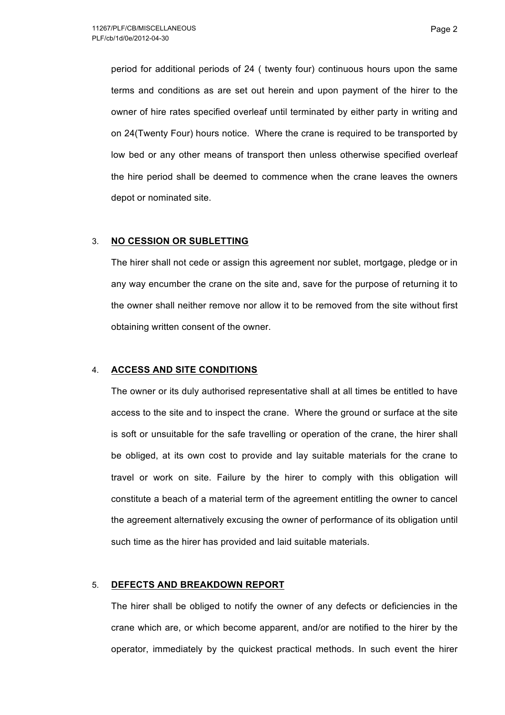period for additional periods of 24 ( twenty four) continuous hours upon the same terms and conditions as are set out herein and upon payment of the hirer to the owner of hire rates specified overleaf until terminated by either party in writing and on 24(Twenty Four) hours notice. Where the crane is required to be transported by low bed or any other means of transport then unless otherwise specified overleaf the hire period shall be deemed to commence when the crane leaves the owners depot or nominated site.

### 3. **NO CESSION OR SUBLETTING**

The hirer shall not cede or assign this agreement nor sublet, mortgage, pledge or in any way encumber the crane on the site and, save for the purpose of returning it to the owner shall neither remove nor allow it to be removed from the site without first obtaining written consent of the owner.

# 4. **ACCESS AND SITE CONDITIONS**

The owner or its duly authorised representative shall at all times be entitled to have access to the site and to inspect the crane. Where the ground or surface at the site is soft or unsuitable for the safe travelling or operation of the crane, the hirer shall be obliged, at its own cost to provide and lay suitable materials for the crane to travel or work on site. Failure by the hirer to comply with this obligation will constitute a beach of a material term of the agreement entitling the owner to cancel the agreement alternatively excusing the owner of performance of its obligation until such time as the hirer has provided and laid suitable materials.

### 5. **DEFECTS AND BREAKDOWN REPORT**

The hirer shall be obliged to notify the owner of any defects or deficiencies in the crane which are, or which become apparent, and/or are notified to the hirer by the operator, immediately by the quickest practical methods. In such event the hirer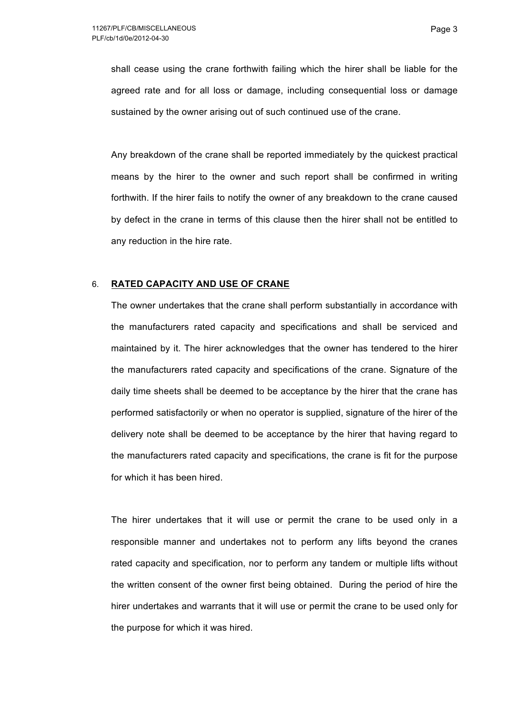shall cease using the crane forthwith failing which the hirer shall be liable for the agreed rate and for all loss or damage, including consequential loss or damage sustained by the owner arising out of such continued use of the crane.

Any breakdown of the crane shall be reported immediately by the quickest practical means by the hirer to the owner and such report shall be confirmed in writing forthwith. If the hirer fails to notify the owner of any breakdown to the crane caused by defect in the crane in terms of this clause then the hirer shall not be entitled to any reduction in the hire rate.

# 6. **RATED CAPACITY AND USE OF CRANE**

The owner undertakes that the crane shall perform substantially in accordance with the manufacturers rated capacity and specifications and shall be serviced and maintained by it. The hirer acknowledges that the owner has tendered to the hirer the manufacturers rated capacity and specifications of the crane. Signature of the daily time sheets shall be deemed to be acceptance by the hirer that the crane has performed satisfactorily or when no operator is supplied, signature of the hirer of the delivery note shall be deemed to be acceptance by the hirer that having regard to the manufacturers rated capacity and specifications, the crane is fit for the purpose for which it has been hired.

The hirer undertakes that it will use or permit the crane to be used only in a responsible manner and undertakes not to perform any lifts beyond the cranes rated capacity and specification, nor to perform any tandem or multiple lifts without the written consent of the owner first being obtained. During the period of hire the hirer undertakes and warrants that it will use or permit the crane to be used only for the purpose for which it was hired.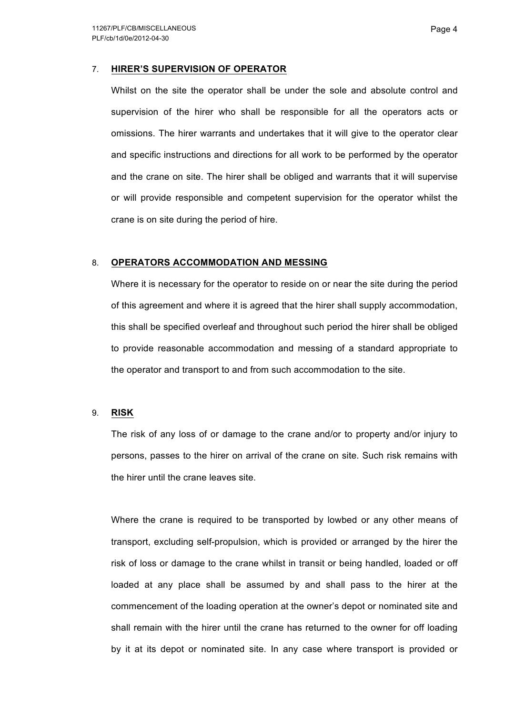## 7. **HIRER'S SUPERVISION OF OPERATOR**

Whilst on the site the operator shall be under the sole and absolute control and supervision of the hirer who shall be responsible for all the operators acts or omissions. The hirer warrants and undertakes that it will give to the operator clear and specific instructions and directions for all work to be performed by the operator and the crane on site. The hirer shall be obliged and warrants that it will supervise or will provide responsible and competent supervision for the operator whilst the crane is on site during the period of hire.

## 8. **OPERATORS ACCOMMODATION AND MESSING**

Where it is necessary for the operator to reside on or near the site during the period of this agreement and where it is agreed that the hirer shall supply accommodation, this shall be specified overleaf and throughout such period the hirer shall be obliged to provide reasonable accommodation and messing of a standard appropriate to the operator and transport to and from such accommodation to the site.

### 9. **RISK**

The risk of any loss of or damage to the crane and/or to property and/or injury to persons, passes to the hirer on arrival of the crane on site. Such risk remains with the hirer until the crane leaves site.

Where the crane is required to be transported by lowbed or any other means of transport, excluding self-propulsion, which is provided or arranged by the hirer the risk of loss or damage to the crane whilst in transit or being handled, loaded or off loaded at any place shall be assumed by and shall pass to the hirer at the commencement of the loading operation at the owner's depot or nominated site and shall remain with the hirer until the crane has returned to the owner for off loading by it at its depot or nominated site. In any case where transport is provided or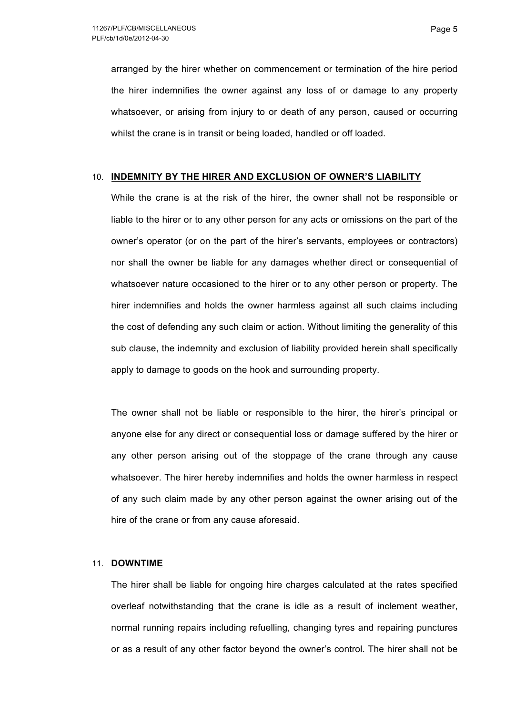arranged by the hirer whether on commencement or termination of the hire period the hirer indemnifies the owner against any loss of or damage to any property whatsoever, or arising from injury to or death of any person, caused or occurring whilst the crane is in transit or being loaded, handled or off loaded.

#### 10. **INDEMNITY BY THE HIRER AND EXCLUSION OF OWNER'S LIABILITY**

While the crane is at the risk of the hirer, the owner shall not be responsible or liable to the hirer or to any other person for any acts or omissions on the part of the owner's operator (or on the part of the hirer's servants, employees or contractors) nor shall the owner be liable for any damages whether direct or consequential of whatsoever nature occasioned to the hirer or to any other person or property. The hirer indemnifies and holds the owner harmless against all such claims including the cost of defending any such claim or action. Without limiting the generality of this sub clause, the indemnity and exclusion of liability provided herein shall specifically apply to damage to goods on the hook and surrounding property.

The owner shall not be liable or responsible to the hirer, the hirer's principal or anyone else for any direct or consequential loss or damage suffered by the hirer or any other person arising out of the stoppage of the crane through any cause whatsoever. The hirer hereby indemnifies and holds the owner harmless in respect of any such claim made by any other person against the owner arising out of the hire of the crane or from any cause aforesaid.

### 11. **DOWNTIME**

The hirer shall be liable for ongoing hire charges calculated at the rates specified overleaf notwithstanding that the crane is idle as a result of inclement weather, normal running repairs including refuelling, changing tyres and repairing punctures or as a result of any other factor beyond the owner's control. The hirer shall not be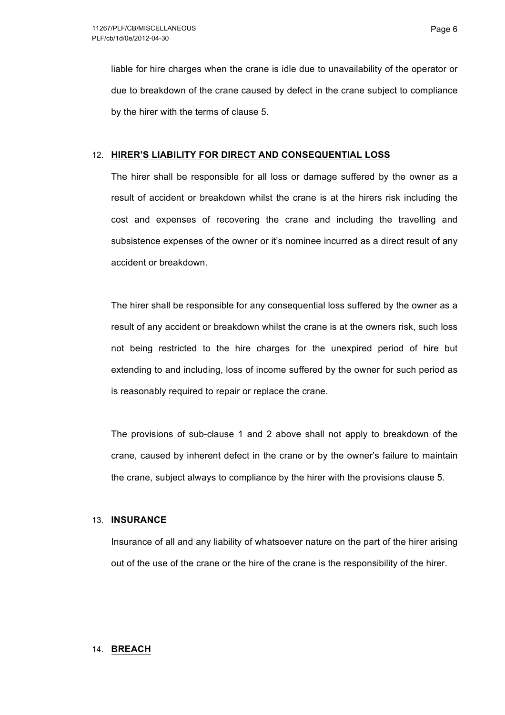liable for hire charges when the crane is idle due to unavailability of the operator or due to breakdown of the crane caused by defect in the crane subject to compliance by the hirer with the terms of clause 5.

# 12. **HIRER'S LIABILITY FOR DIRECT AND CONSEQUENTIAL LOSS**

The hirer shall be responsible for all loss or damage suffered by the owner as a result of accident or breakdown whilst the crane is at the hirers risk including the cost and expenses of recovering the crane and including the travelling and subsistence expenses of the owner or it's nominee incurred as a direct result of any accident or breakdown.

The hirer shall be responsible for any consequential loss suffered by the owner as a result of any accident or breakdown whilst the crane is at the owners risk, such loss not being restricted to the hire charges for the unexpired period of hire but extending to and including, loss of income suffered by the owner for such period as is reasonably required to repair or replace the crane.

The provisions of sub-clause 1 and 2 above shall not apply to breakdown of the crane, caused by inherent defect in the crane or by the owner's failure to maintain the crane, subject always to compliance by the hirer with the provisions clause 5.

# 13. **INSURANCE**

Insurance of all and any liability of whatsoever nature on the part of the hirer arising out of the use of the crane or the hire of the crane is the responsibility of the hirer.

### 14. **BREACH**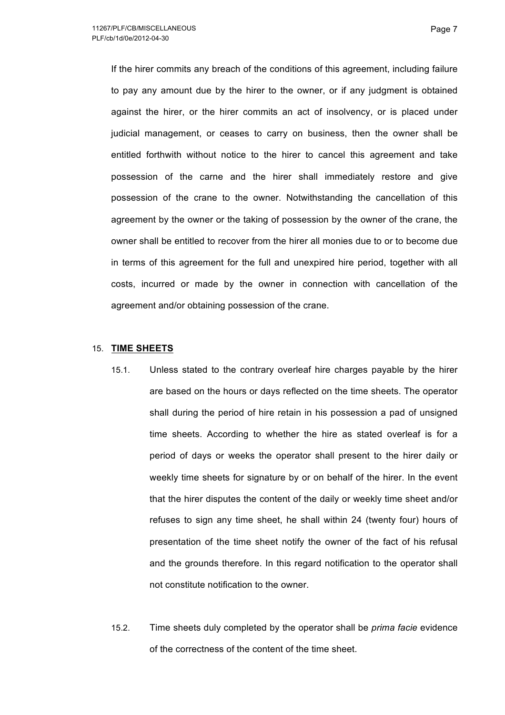If the hirer commits any breach of the conditions of this agreement, including failure to pay any amount due by the hirer to the owner, or if any judgment is obtained against the hirer, or the hirer commits an act of insolvency, or is placed under judicial management, or ceases to carry on business, then the owner shall be entitled forthwith without notice to the hirer to cancel this agreement and take possession of the carne and the hirer shall immediately restore and give possession of the crane to the owner. Notwithstanding the cancellation of this agreement by the owner or the taking of possession by the owner of the crane, the owner shall be entitled to recover from the hirer all monies due to or to become due in terms of this agreement for the full and unexpired hire period, together with all costs, incurred or made by the owner in connection with cancellation of the agreement and/or obtaining possession of the crane.

## 15. **TIME SHEETS**

- 15.1. Unless stated to the contrary overleaf hire charges payable by the hirer are based on the hours or days reflected on the time sheets. The operator shall during the period of hire retain in his possession a pad of unsigned time sheets. According to whether the hire as stated overleaf is for a period of days or weeks the operator shall present to the hirer daily or weekly time sheets for signature by or on behalf of the hirer. In the event that the hirer disputes the content of the daily or weekly time sheet and/or refuses to sign any time sheet, he shall within 24 (twenty four) hours of presentation of the time sheet notify the owner of the fact of his refusal and the grounds therefore. In this regard notification to the operator shall not constitute notification to the owner.
- 15.2. Time sheets duly completed by the operator shall be *prima facie* evidence of the correctness of the content of the time sheet.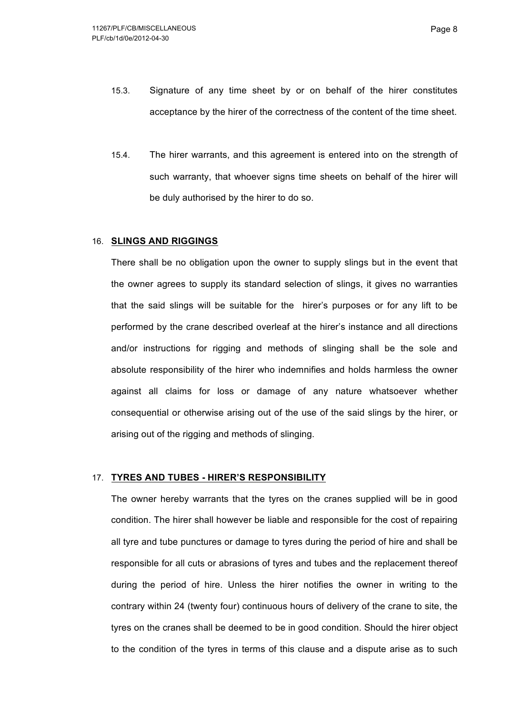- 15.3. Signature of any time sheet by or on behalf of the hirer constitutes acceptance by the hirer of the correctness of the content of the time sheet.
- 15.4. The hirer warrants, and this agreement is entered into on the strength of such warranty, that whoever signs time sheets on behalf of the hirer will be duly authorised by the hirer to do so.

#### 16. **SLINGS AND RIGGINGS**

There shall be no obligation upon the owner to supply slings but in the event that the owner agrees to supply its standard selection of slings, it gives no warranties that the said slings will be suitable for the hirer's purposes or for any lift to be performed by the crane described overleaf at the hirer's instance and all directions and/or instructions for rigging and methods of slinging shall be the sole and absolute responsibility of the hirer who indemnifies and holds harmless the owner against all claims for loss or damage of any nature whatsoever whether consequential or otherwise arising out of the use of the said slings by the hirer, or arising out of the rigging and methods of slinging.

### 17. **TYRES AND TUBES - HIRER'S RESPONSIBILITY**

The owner hereby warrants that the tyres on the cranes supplied will be in good condition. The hirer shall however be liable and responsible for the cost of repairing all tyre and tube punctures or damage to tyres during the period of hire and shall be responsible for all cuts or abrasions of tyres and tubes and the replacement thereof during the period of hire. Unless the hirer notifies the owner in writing to the contrary within 24 (twenty four) continuous hours of delivery of the crane to site, the tyres on the cranes shall be deemed to be in good condition. Should the hirer object to the condition of the tyres in terms of this clause and a dispute arise as to such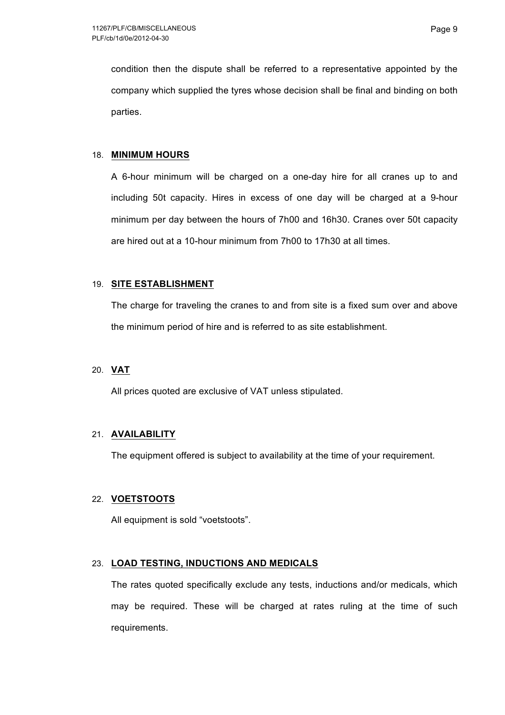condition then the dispute shall be referred to a representative appointed by the company which supplied the tyres whose decision shall be final and binding on both parties.

## 18. **MINIMUM HOURS**

A 6-hour minimum will be charged on a one-day hire for all cranes up to and including 50t capacity. Hires in excess of one day will be charged at a 9-hour minimum per day between the hours of 7h00 and 16h30. Cranes over 50t capacity are hired out at a 10-hour minimum from 7h00 to 17h30 at all times.

# 19. **SITE ESTABLISHMENT**

The charge for traveling the cranes to and from site is a fixed sum over and above the minimum period of hire and is referred to as site establishment.

### 20. **VAT**

All prices quoted are exclusive of VAT unless stipulated.

# 21. **AVAILABILITY**

The equipment offered is subject to availability at the time of your requirement.

# 22. **VOETSTOOTS**

All equipment is sold "voetstoots".

# 23. **LOAD TESTING, INDUCTIONS AND MEDICALS**

The rates quoted specifically exclude any tests, inductions and/or medicals, which may be required. These will be charged at rates ruling at the time of such requirements.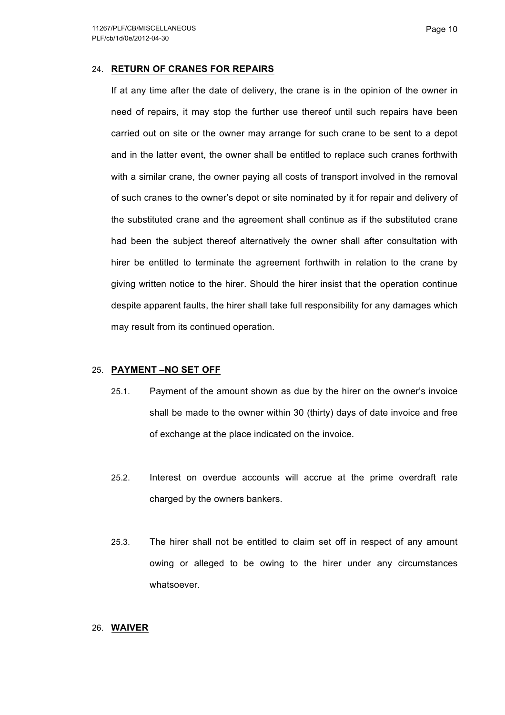### 24. **RETURN OF CRANES FOR REPAIRS**

If at any time after the date of delivery, the crane is in the opinion of the owner in need of repairs, it may stop the further use thereof until such repairs have been carried out on site or the owner may arrange for such crane to be sent to a depot and in the latter event, the owner shall be entitled to replace such cranes forthwith with a similar crane, the owner paying all costs of transport involved in the removal of such cranes to the owner's depot or site nominated by it for repair and delivery of the substituted crane and the agreement shall continue as if the substituted crane had been the subject thereof alternatively the owner shall after consultation with hirer be entitled to terminate the agreement forthwith in relation to the crane by giving written notice to the hirer. Should the hirer insist that the operation continue despite apparent faults, the hirer shall take full responsibility for any damages which may result from its continued operation.

### 25. **PAYMENT –NO SET OFF**

- 25.1. Payment of the amount shown as due by the hirer on the owner's invoice shall be made to the owner within 30 (thirty) days of date invoice and free of exchange at the place indicated on the invoice.
- 25.2. Interest on overdue accounts will accrue at the prime overdraft rate charged by the owners bankers.
- 25.3. The hirer shall not be entitled to claim set off in respect of any amount owing or alleged to be owing to the hirer under any circumstances whatsoever.

# 26. **WAIVER**